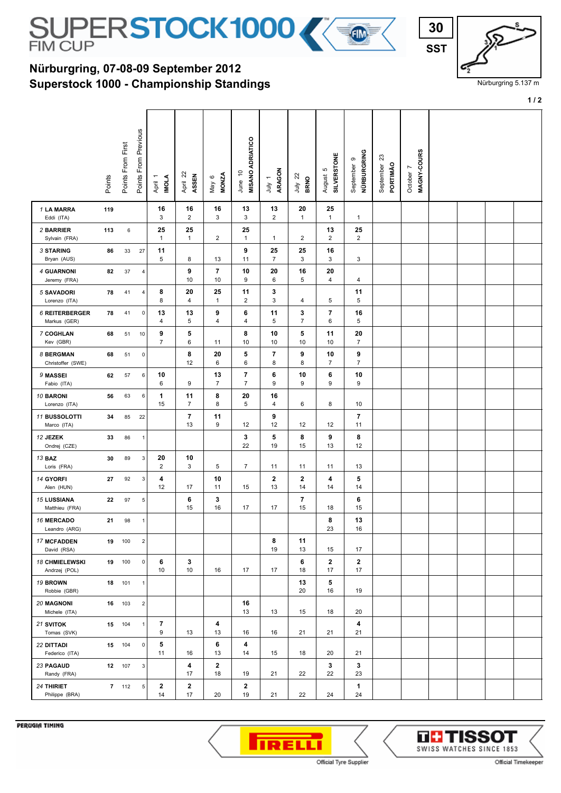

## **Superstock 1000 - Championship Standings Nürburgring, 07-08-09 September 2012**

| 30         |  |
|------------|--|
| <b>SST</b> |  |

Nürburgring 5.137 m

**1 / 2**

|                                        | Points | Points From First | Points From Previous    | <b>INOLA</b><br>April 1 | April 22<br>ASSEN    | <b>MONZA</b><br>$\circ$<br>Vay | <b>MISANO ADRIATICO</b><br>June 10 | ARAGON<br>$\overline{\phantom{a}}$<br>ληλ | $\overline{2}$<br><b>BRNO</b><br>Ìд | <b>SILVERSTONE</b><br>ю<br>August | NÜRBURGRING<br>$\circ$<br>September | ಔ<br>PORTIMÃO<br>September | MAGNY-COURS<br>October 7 |  |  |
|----------------------------------------|--------|-------------------|-------------------------|-------------------------|----------------------|--------------------------------|------------------------------------|-------------------------------------------|-------------------------------------|-----------------------------------|-------------------------------------|----------------------------|--------------------------|--|--|
| 1 LA MARRA<br>Eddi (ITA)               | 119    |                   |                         | 16<br>3                 | 16<br>$\overline{2}$ | 16<br>3                        | 13<br>3                            | 13<br>$\overline{2}$                      | 20<br>$\mathbf{1}$                  | 25<br>$\mathbf{1}$                | $\mathbf{1}$                        |                            |                          |  |  |
| 2 BARRIER<br>Sylvain (FRA)             | 113    | $\,6\,$           |                         | 25<br>1                 | 25<br>$\mathbf{1}$   | 2                              | 25<br>$\mathbf{1}$                 | $\mathbf{1}$                              | 2                                   | 13<br>$\overline{c}$              | 25<br>2                             |                            |                          |  |  |
| <b>3 STARING</b><br>Bryan (AUS)        | 86     | 33                | 27                      | 11<br>5                 | 8                    | 13                             | 9<br>11                            | 25<br>$\overline{7}$                      | 25<br>$\mathbf{3}$                  | 16<br>3                           | 3                                   |                            |                          |  |  |
| 4 GUARNONI<br>Jeremy (FRA)             | 82     | 37                | 4                       |                         | 9<br>10              | $\overline{\phantom{a}}$<br>10 | 10<br>9                            | 20<br>6                                   | 16<br>5                             | 20<br>4                           | 4                                   |                            |                          |  |  |
| <b>5 SAVADORI</b><br>Lorenzo (ITA)     | 78     | 41                | 4                       | 8<br>8                  | 20<br>4              | 25<br>$\mathbf{1}$             | 11<br>$\overline{2}$               | 3<br>3                                    | 4                                   | 5                                 | 11<br>5                             |                            |                          |  |  |
| 6 REITERBERGER<br>Markus (GER)         | 78     | 41                | $\mathbf 0$             | 13<br>4                 | 13<br>5              | 9<br>4                         | 6<br>4                             | 11<br>5                                   | 3<br>$\overline{7}$                 | $\overline{\mathbf{r}}$<br>6      | 16<br>5                             |                            |                          |  |  |
| 7 COGHLAN<br>Kev (GBR)                 | 68     | 51                | 10                      | 9<br>$\overline{7}$     | 5<br>6               | 11                             | 8<br>10                            | 10<br>10                                  | 5<br>10                             | 11<br>10                          | 20<br>$\overline{7}$                |                            |                          |  |  |
| 8 BERGMAN<br>Christoffer (SWE)         | 68     | 51                | $\mathsf 0$             |                         | 8<br>12              | 20<br>6                        | 5<br>6                             | $\overline{7}$<br>8                       | 9<br>8                              | 10<br>7                           | 9<br>7                              |                            |                          |  |  |
| 9 MASSEI<br>Fabio (ITA)                | 62     | 57                | 6                       | 10<br>6                 | 9                    | 13<br>$\overline{7}$           | 7<br>$\overline{7}$                | 6<br>9                                    | 10<br>9                             | 6<br>9                            | 10<br>9                             |                            |                          |  |  |
| 10 BARONI<br>Lorenzo (ITA)             | 56     | 63                | 6                       | 1<br>15                 | 11<br>$\overline{7}$ | 8<br>8                         | 20<br>5                            | 16<br>4                                   | 6                                   | 8                                 | 10                                  |                            |                          |  |  |
| 11 BUSSOLOTTI<br>Marco (ITA)           | 34     | 85                | 22                      |                         | $\overline{7}$<br>13 | 11<br>9                        | 12                                 | 9<br>12                                   | 12                                  | 12                                | $\overline{\mathbf{r}}$<br>11       |                            |                          |  |  |
| 12 JEZEK<br>Ondrej (CZE)               | 33     | 86                | $\mathbf{1}$            |                         |                      |                                | 3<br>22                            | 5<br>19                                   | 8<br>15                             | 9<br>13                           | 8<br>12                             |                            |                          |  |  |
| 13 BAZ<br>Loris (FRA)                  | 30     | 89                | 3                       | 20<br>$\overline{2}$    | 10<br>3              | 5                              | $\overline{7}$                     | 11                                        | 11                                  | 11                                | 13                                  |                            |                          |  |  |
| 14 GYORFI<br>Alen (HUN)                | 27     | 92                | 3                       | 4<br>12                 | 17                   | 10<br>11                       | 15                                 | $\mathbf{2}$<br>13                        | $\mathbf{2}$<br>14                  | 4<br>14                           | 5<br>14                             |                            |                          |  |  |
| <b>15 LUSSIANA</b><br>Matthieu (FRA)   | 22     | 97                | 5                       |                         | 6<br>15              | 3<br>16                        | 17                                 | 17                                        | 7<br>15                             | 18                                | 6<br>15                             |                            |                          |  |  |
| <b>16 MERCADO</b><br>Leandro (ARG)     | 21     | 98                | $\mathbf{1}$            |                         |                      |                                |                                    |                                           |                                     | 8<br>23                           | 13<br>16                            |                            |                          |  |  |
| <b>17 MCFADDEN</b><br>David (RSA)      |        | 19 100            | $\overline{\mathbf{c}}$ |                         |                      |                                |                                    | 8<br>19                                   | 11<br>13                            | 15                                | 17                                  |                            |                          |  |  |
| <b>18 CHMIELEWSKI</b><br>Andrzej (POL) |        | 19 100            | $\mathsf 0$             | 6<br>10                 | 3<br>10              | 16                             | 17                                 | 17                                        | 6<br>18                             | $\mathbf{2}$<br>17                | $\mathbf{2}$<br>17                  |                            |                          |  |  |
| 19 BROWN<br>Robbie (GBR)               |        | 18 101            | $\mathbf{1}$            |                         |                      |                                |                                    |                                           | 13<br>20                            | 5<br>16                           | 19                                  |                            |                          |  |  |
| <b>20 MAGNONI</b><br>Michele (ITA)     |        | 16 103            | 2                       |                         |                      |                                | 16<br>13                           | 13                                        | 15                                  | 18                                | 20                                  |                            |                          |  |  |
| 21 SVITOK<br>Tomas (SVK)               |        | 15 104            | 1                       | 7<br>9                  | 13                   | 4<br>13                        | 16                                 | 16                                        | 21                                  | 21                                | 4<br>21                             |                            |                          |  |  |
| <b>22 DITTADI</b><br>Federico (ITA)    |        | 15 104            | 0                       | 5<br>11                 | 16                   | 6<br>13                        | 4<br>14                            | 15                                        | 18                                  | 20                                | 21                                  |                            |                          |  |  |
| 23 PAGAUD<br>Randy (FRA)               |        | 12 107            | $\mathbf{3}$            |                         | 4<br>17              | $\mathbf{2}$<br>18             | 19                                 | 21                                        | 22                                  | 3<br>22                           | 3<br>23                             |                            |                          |  |  |
| 24 THIRIET<br>Philippe (BRA)           |        | 7 112             | 5 <sup>5</sup>          | $\mathbf{2}$<br>14      | $\mathbf{2}$<br>17   | 20                             | $\mathbf 2$<br>19                  | 21                                        | 22                                  | 24                                | 1<br>24                             |                            |                          |  |  |